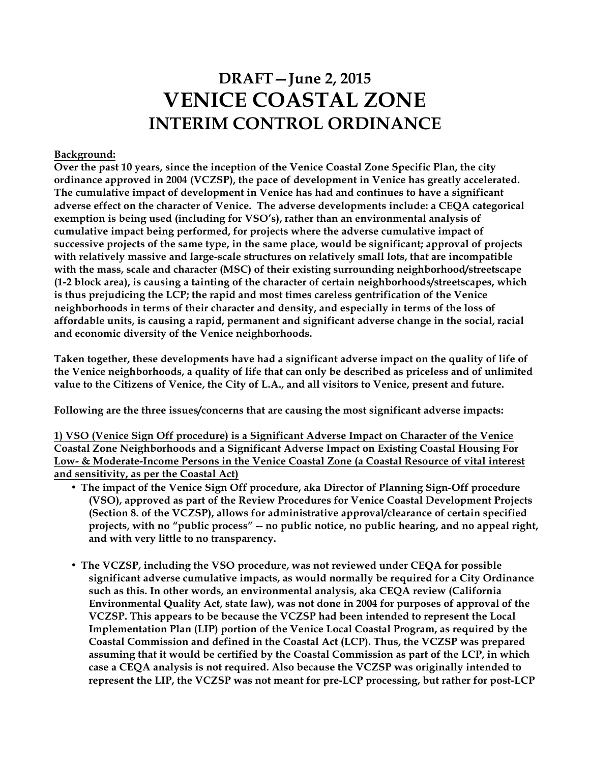# **DRAFT—June 2, 2015 VENICE COASTAL ZONE INTERIM CONTROL ORDINANCE**

#### **Background:**

**Over the past 10 years, since the inception of the Venice Coastal Zone Specific Plan, the city ordinance approved in 2004 (VCZSP), the pace of development in Venice has greatly accelerated. The cumulative impact of development in Venice has had and continues to have a significant adverse effect on the character of Venice. The adverse developments include: a CEQA categorical exemption is being used (including for VSO's), rather than an environmental analysis of cumulative impact being performed, for projects where the adverse cumulative impact of successive projects of the same type, in the same place, would be significant; approval of projects with relatively massive and large-scale structures on relatively small lots, that are incompatible with the mass, scale and character (MSC) of their existing surrounding neighborhood/streetscape (1-2 block area), is causing a tainting of the character of certain neighborhoods/streetscapes, which is thus prejudicing the LCP; the rapid and most times careless gentrification of the Venice neighborhoods in terms of their character and density, and especially in terms of the loss of affordable units, is causing a rapid, permanent and significant adverse change in the social, racial and economic diversity of the Venice neighborhoods.** 

**Taken together, these developments have had a significant adverse impact on the quality of life of the Venice neighborhoods, a quality of life that can only be described as priceless and of unlimited value to the Citizens of Venice, the City of L.A., and all visitors to Venice, present and future.**

**Following are the three issues/concerns that are causing the most significant adverse impacts:**

**1) VSO (Venice Sign Off procedure) is a Significant Adverse Impact on Character of the Venice Coastal Zone Neighborhoods and a Significant Adverse Impact on Existing Coastal Housing For Low- & Moderate-Income Persons in the Venice Coastal Zone (a Coastal Resource of vital interest and sensitivity, as per the Coastal Act)**

- **The impact of the Venice Sign Off procedure, aka Director of Planning Sign-Off procedure (VSO), approved as part of the Review Procedures for Venice Coastal Development Projects (Section 8. of the VCZSP), allows for administrative approval/clearance of certain specified projects, with no "public process" -- no public notice, no public hearing, and no appeal right, and with very little to no transparency.**
- **The VCZSP, including the VSO procedure, was not reviewed under CEQA for possible significant adverse cumulative impacts, as would normally be required for a City Ordinance such as this. In other words, an environmental analysis, aka CEQA review (California Environmental Quality Act, state law), was not done in 2004 for purposes of approval of the VCZSP. This appears to be because the VCZSP had been intended to represent the Local Implementation Plan (LIP) portion of the Venice Local Coastal Program, as required by the Coastal Commission and defined in the Coastal Act (LCP). Thus, the VCZSP was prepared assuming that it would be certified by the Coastal Commission as part of the LCP, in which case a CEQA analysis is not required. Also because the VCZSP was originally intended to represent the LIP, the VCZSP was not meant for pre-LCP processing, but rather for post-LCP**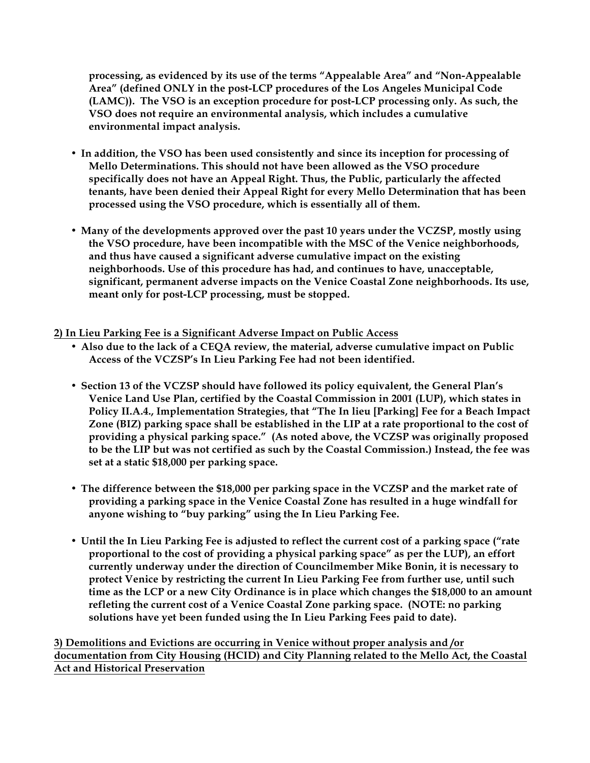**processing, as evidenced by its use of the terms "Appealable Area" and "Non-Appealable Area" (defined ONLY in the post-LCP procedures of the Los Angeles Municipal Code (LAMC)). The VSO is an exception procedure for post-LCP processing only. As such, the VSO does not require an environmental analysis, which includes a cumulative environmental impact analysis.**

- **In addition, the VSO has been used consistently and since its inception for processing of Mello Determinations. This should not have been allowed as the VSO procedure specifically does not have an Appeal Right. Thus, the Public, particularly the affected tenants, have been denied their Appeal Right for every Mello Determination that has been processed using the VSO procedure, which is essentially all of them.**
- **Many of the developments approved over the past 10 years under the VCZSP, mostly using the VSO procedure, have been incompatible with the MSC of the Venice neighborhoods, and thus have caused a significant adverse cumulative impact on the existing neighborhoods. Use of this procedure has had, and continues to have, unacceptable, significant, permanent adverse impacts on the Venice Coastal Zone neighborhoods. Its use, meant only for post-LCP processing, must be stopped.**
- **2) In Lieu Parking Fee is a Significant Adverse Impact on Public Access**
	- **Also due to the lack of a CEQA review, the material, adverse cumulative impact on Public Access of the VCZSP's In Lieu Parking Fee had not been identified.**
	- **Section 13 of the VCZSP should have followed its policy equivalent, the General Plan's Venice Land Use Plan, certified by the Coastal Commission in 2001 (LUP), which states in Policy II.A.4., Implementation Strategies, that "The In lieu [Parking] Fee for a Beach Impact Zone (BIZ) parking space shall be established in the LIP at a rate proportional to the cost of providing a physical parking space." (As noted above, the VCZSP was originally proposed to be the LIP but was not certified as such by the Coastal Commission.) Instead, the fee was set at a static \$18,000 per parking space.**
	- **The difference between the \$18,000 per parking space in the VCZSP and the market rate of providing a parking space in the Venice Coastal Zone has resulted in a huge windfall for anyone wishing to "buy parking" using the In Lieu Parking Fee.**
	- **Until the In Lieu Parking Fee is adjusted to reflect the current cost of a parking space ("rate proportional to the cost of providing a physical parking space" as per the LUP), an effort currently underway under the direction of Councilmember Mike Bonin, it is necessary to protect Venice by restricting the current In Lieu Parking Fee from further use, until such time as the LCP or a new City Ordinance is in place which changes the \$18,000 to an amount refleting the current cost of a Venice Coastal Zone parking space. (NOTE: no parking solutions have yet been funded using the In Lieu Parking Fees paid to date).**

**3) Demolitions and Evictions are occurring in Venice without proper analysis and /or documentation from City Housing (HCID) and City Planning related to the Mello Act, the Coastal Act and Historical Preservation**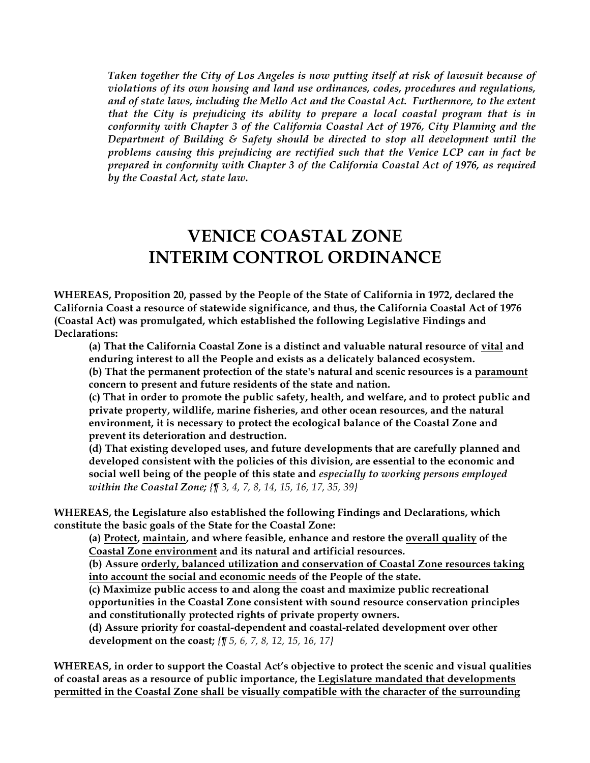*Taken together the City of Los Angeles is now putting itself at risk of lawsuit because of violations of its own housing and land use ordinances, codes, procedures and regulations, and of state laws, including the Mello Act and the Coastal Act. Furthermore, to the extent that the City is prejudicing its ability to prepare a local coastal program that is in conformity with Chapter 3 of the California Coastal Act of 1976, City Planning and the Department of Building & Safety should be directed to stop all development until the problems causing this prejudicing are rectified such that the Venice LCP can in fact be prepared in conformity with Chapter 3 of the California Coastal Act of 1976, as required by the Coastal Act, state law.*

## **VENICE COASTAL ZONE INTERIM CONTROL ORDINANCE**

**WHEREAS, Proposition 20, passed by the People of the State of California in 1972, declared the California Coast a resource of statewide significance, and thus, the California Coastal Act of 1976 (Coastal Act) was promulgated, which established the following Legislative Findings and Declarations:**

**(a) That the California Coastal Zone is a distinct and valuable natural resource of vital and enduring interest to all the People and exists as a delicately balanced ecosystem.**

**(b) That the permanent protection of the state's natural and scenic resources is a paramount concern to present and future residents of the state and nation.**

**(c) That in order to promote the public safety, health, and welfare, and to protect public and private property, wildlife, marine fisheries, and other ocean resources, and the natural environment, it is necessary to protect the ecological balance of the Coastal Zone and prevent its deterioration and destruction.**

**(d) That existing developed uses, and future developments that are carefully planned and developed consistent with the policies of this division, are essential to the economic and social well being of the people of this state and** *especially to working persons employed within the Coastal Zone; {¶ 3, 4, 7, 8, 14, 15, 16, 17, 35, 39}*

**WHEREAS, the Legislature also established the following Findings and Declarations, which constitute the basic goals of the State for the Coastal Zone:**

**(a) Protect, maintain, and where feasible, enhance and restore the overall quality of the Coastal Zone environment and its natural and artificial resources.**

**(b) Assure orderly, balanced utilization and conservation of Coastal Zone resources taking into account the social and economic needs of the People of the state.**

**(c) Maximize public access to and along the coast and maximize public recreational opportunities in the Coastal Zone consistent with sound resource conservation principles and constitutionally protected rights of private property owners.**

**(d) Assure priority for coastal-dependent and coastal-related development over other development on the coast;** *{¶ 5, 6, 7, 8, 12, 15, 16, 17}*

**WHEREAS, in order to support the Coastal Act's objective to protect the scenic and visual qualities of coastal areas as a resource of public importance, the Legislature mandated that developments permitted in the Coastal Zone shall be visually compatible with the character of the surrounding**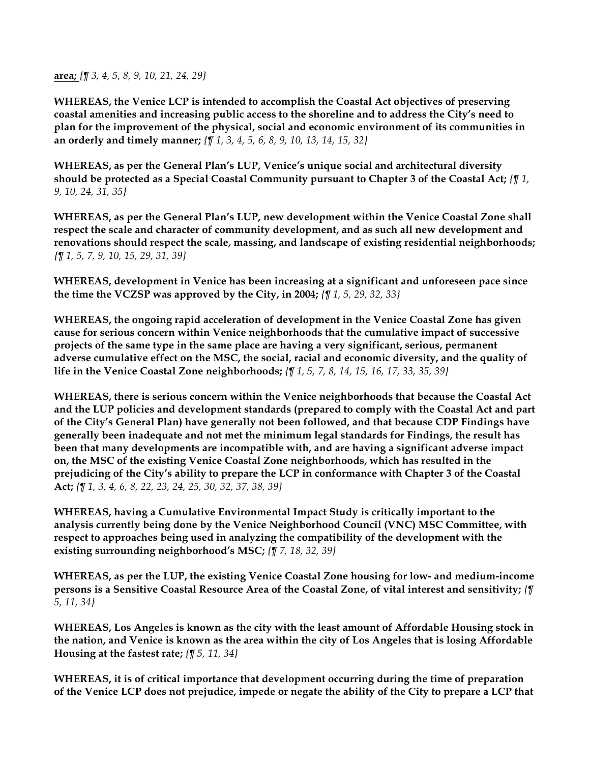**area;** *{¶ 3, 4, 5, 8, 9, 10, 21, 24, 29}*

**WHEREAS, the Venice LCP is intended to accomplish the Coastal Act objectives of preserving coastal amenities and increasing public access to the shoreline and to address the City's need to plan for the improvement of the physical, social and economic environment of its communities in an orderly and timely manner;** *{¶ 1, 3, 4, 5, 6, 8, 9, 10, 13, 14, 15, 32}*

**WHEREAS, as per the General Plan's LUP, Venice's unique social and architectural diversity should be protected as a Special Coastal Community pursuant to Chapter 3 of the Coastal Act;** *{¶ 1, 9, 10, 24, 31, 35}*

**WHEREAS, as per the General Plan's LUP, new development within the Venice Coastal Zone shall respect the scale and character of community development, and as such all new development and renovations should respect the scale, massing, and landscape of existing residential neighborhoods;**  *{¶ 1, 5, 7, 9, 10, 15, 29, 31, 39}*

**WHEREAS, development in Venice has been increasing at a significant and unforeseen pace since the time the VCZSP was approved by the City, in 2004;** *{¶ 1, 5, 29, 32, 33}*

**WHEREAS, the ongoing rapid acceleration of development in the Venice Coastal Zone has given cause for serious concern within Venice neighborhoods that the cumulative impact of successive projects of the same type in the same place are having a very significant, serious, permanent adverse cumulative effect on the MSC, the social, racial and economic diversity, and the quality of life in the Venice Coastal Zone neighborhoods;** *{¶ 1, 5, 7, 8, 14, 15, 16, 17, 33, 35, 39}*

**WHEREAS, there is serious concern within the Venice neighborhoods that because the Coastal Act and the LUP policies and development standards (prepared to comply with the Coastal Act and part of the City's General Plan) have generally not been followed, and that because CDP Findings have generally been inadequate and not met the minimum legal standards for Findings, the result has been that many developments are incompatible with, and are having a significant adverse impact on, the MSC of the existing Venice Coastal Zone neighborhoods, which has resulted in the prejudicing of the City's ability to prepare the LCP in conformance with Chapter 3 of the Coastal Act;** *{¶ 1, 3, 4, 6, 8, 22, 23, 24, 25, 30, 32, 37, 38, 39}*

**WHEREAS, having a Cumulative Environmental Impact Study is critically important to the analysis currently being done by the Venice Neighborhood Council (VNC) MSC Committee, with respect to approaches being used in analyzing the compatibility of the development with the existing surrounding neighborhood's MSC;** *{¶ 7, 18, 32, 39}*

**WHEREAS, as per the LUP, the existing Venice Coastal Zone housing for low- and medium-income persons is a Sensitive Coastal Resource Area of the Coastal Zone, of vital interest and sensitivity;** *{¶ 5, 11, 34}*

**WHEREAS, Los Angeles is known as the city with the least amount of Affordable Housing stock in the nation, and Venice is known as the area within the city of Los Angeles that is losing Affordable Housing at the fastest rate;** *{¶ 5, 11, 34}*

**WHEREAS, it is of critical importance that development occurring during the time of preparation of the Venice LCP does not prejudice, impede or negate the ability of the City to prepare a LCP that**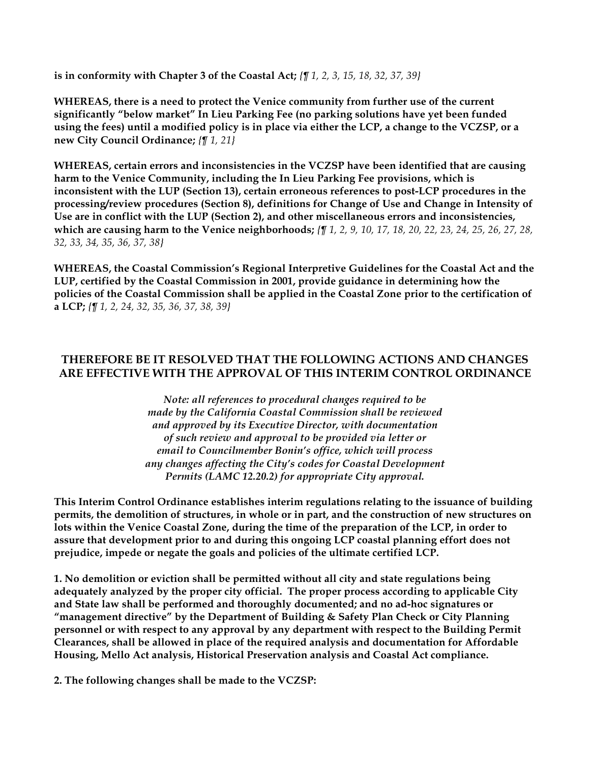**is in conformity with Chapter 3 of the Coastal Act;** *{¶ 1, 2, 3, 15, 18, 32, 37, 39}*

**WHEREAS, there is a need to protect the Venice community from further use of the current significantly "below market" In Lieu Parking Fee (no parking solutions have yet been funded using the fees) until a modified policy is in place via either the LCP, a change to the VCZSP, or a new City Council Ordinance;** *{¶ 1, 21}*

**WHEREAS, certain errors and inconsistencies in the VCZSP have been identified that are causing harm to the Venice Community, including the In Lieu Parking Fee provisions, which is inconsistent with the LUP (Section 13), certain erroneous references to post-LCP procedures in the processing/review procedures (Section 8), definitions for Change of Use and Change in Intensity of Use are in conflict with the LUP (Section 2), and other miscellaneous errors and inconsistencies, which are causing harm to the Venice neighborhoods;** *{¶ 1, 2, 9, 10, 17, 18, 20, 22, 23, 24, 25, 26, 27, 28, 32, 33, 34, 35, 36, 37, 38}*

**WHEREAS, the Coastal Commission's Regional Interpretive Guidelines for the Coastal Act and the LUP, certified by the Coastal Commission in 2001, provide guidance in determining how the policies of the Coastal Commission shall be applied in the Coastal Zone prior to the certification of a LCP;** *{¶ 1, 2, 24, 32, 35, 36, 37, 38, 39}*

### **THEREFORE BE IT RESOLVED THAT THE FOLLOWING ACTIONS AND CHANGES ARE EFFECTIVE WITH THE APPROVAL OF THIS INTERIM CONTROL ORDINANCE**

*Note: all references to procedural changes required to be made by the California Coastal Commission shall be reviewed and approved by its Executive Director, with documentation of such review and approval to be provided via letter or email to Councilmember Bonin's office, which will process any changes affecting the City's codes for Coastal Development Permits (LAMC 12.20.2) for appropriate City approval.*

**This Interim Control Ordinance establishes interim regulations relating to the issuance of building permits, the demolition of structures, in whole or in part, and the construction of new structures on lots within the Venice Coastal Zone, during the time of the preparation of the LCP, in order to assure that development prior to and during this ongoing LCP coastal planning effort does not prejudice, impede or negate the goals and policies of the ultimate certified LCP.**

**1. No demolition or eviction shall be permitted without all city and state regulations being adequately analyzed by the proper city official. The proper process according to applicable City and State law shall be performed and thoroughly documented; and no ad-hoc signatures or "management directive" by the Department of Building & Safety Plan Check or City Planning personnel or with respect to any approval by any department with respect to the Building Permit Clearances, shall be allowed in place of the required analysis and documentation for Affordable Housing, Mello Act analysis, Historical Preservation analysis and Coastal Act compliance.**

**2. The following changes shall be made to the VCZSP:**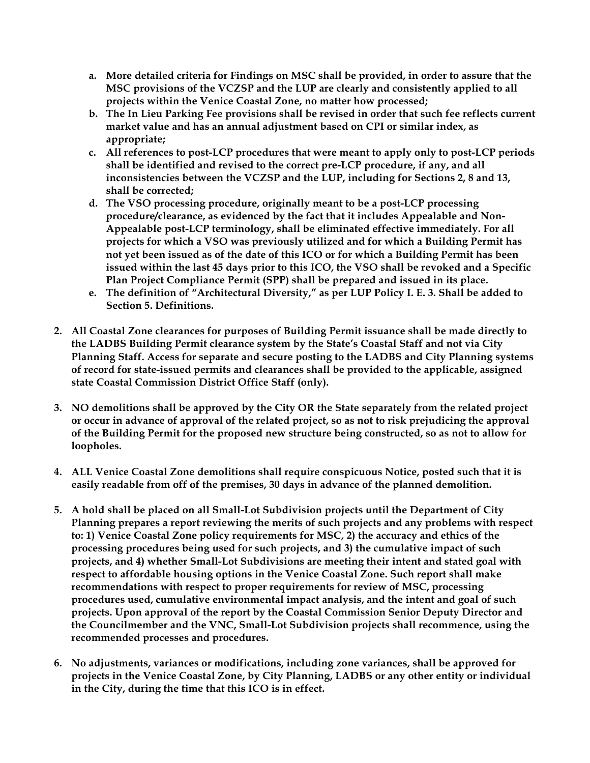- **a. More detailed criteria for Findings on MSC shall be provided, in order to assure that the MSC provisions of the VCZSP and the LUP are clearly and consistently applied to all projects within the Venice Coastal Zone, no matter how processed;**
- **b. The In Lieu Parking Fee provisions shall be revised in order that such fee reflects current market value and has an annual adjustment based on CPI or similar index, as appropriate;**
- **c. All references to post-LCP procedures that were meant to apply only to post-LCP periods shall be identified and revised to the correct pre-LCP procedure, if any, and all inconsistencies between the VCZSP and the LUP, including for Sections 2, 8 and 13, shall be corrected;**
- **d. The VSO processing procedure, originally meant to be a post-LCP processing procedure/clearance, as evidenced by the fact that it includes Appealable and Non-Appealable post-LCP terminology, shall be eliminated effective immediately. For all projects for which a VSO was previously utilized and for which a Building Permit has not yet been issued as of the date of this ICO or for which a Building Permit has been issued within the last 45 days prior to this ICO, the VSO shall be revoked and a Specific Plan Project Compliance Permit (SPP) shall be prepared and issued in its place.**
- **e. The definition of "Architectural Diversity," as per LUP Policy I. E. 3. Shall be added to Section 5. Definitions.**
- **2. All Coastal Zone clearances for purposes of Building Permit issuance shall be made directly to the LADBS Building Permit clearance system by the State's Coastal Staff and not via City Planning Staff. Access for separate and secure posting to the LADBS and City Planning systems of record for state-issued permits and clearances shall be provided to the applicable, assigned state Coastal Commission District Office Staff (only).**
- **3. NO demolitions shall be approved by the City OR the State separately from the related project or occur in advance of approval of the related project, so as not to risk prejudicing the approval of the Building Permit for the proposed new structure being constructed, so as not to allow for loopholes.**
- **4. ALL Venice Coastal Zone demolitions shall require conspicuous Notice, posted such that it is easily readable from off of the premises, 30 days in advance of the planned demolition.**
- **5. A hold shall be placed on all Small-Lot Subdivision projects until the Department of City Planning prepares a report reviewing the merits of such projects and any problems with respect to: 1) Venice Coastal Zone policy requirements for MSC, 2) the accuracy and ethics of the processing procedures being used for such projects, and 3) the cumulative impact of such projects, and 4) whether Small-Lot Subdivisions are meeting their intent and stated goal with respect to affordable housing options in the Venice Coastal Zone. Such report shall make recommendations with respect to proper requirements for review of MSC, processing procedures used, cumulative environmental impact analysis, and the intent and goal of such projects. Upon approval of the report by the Coastal Commission Senior Deputy Director and the Councilmember and the VNC, Small-Lot Subdivision projects shall recommence, using the recommended processes and procedures.**
- **6. No adjustments, variances or modifications, including zone variances, shall be approved for projects in the Venice Coastal Zone, by City Planning, LADBS or any other entity or individual in the City, during the time that this ICO is in effect.**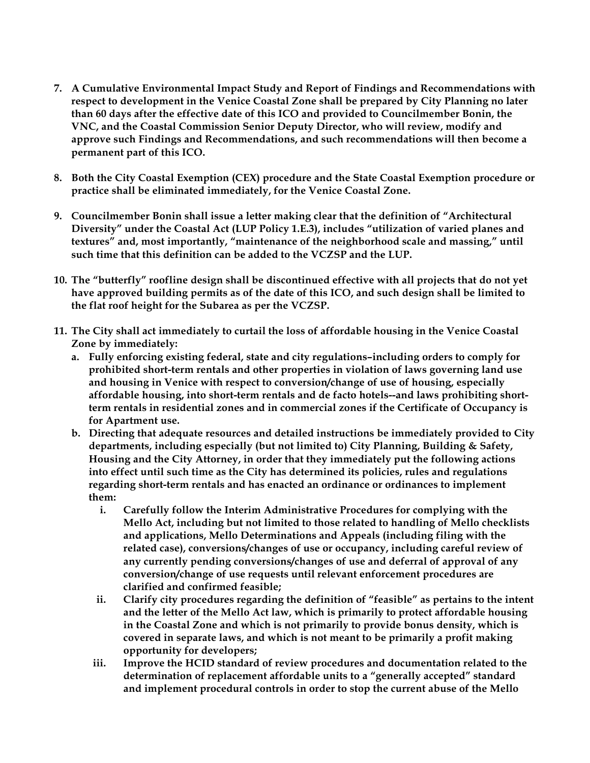- **7. A Cumulative Environmental Impact Study and Report of Findings and Recommendations with respect to development in the Venice Coastal Zone shall be prepared by City Planning no later than 60 days after the effective date of this ICO and provided to Councilmember Bonin, the VNC, and the Coastal Commission Senior Deputy Director, who will review, modify and approve such Findings and Recommendations, and such recommendations will then become a permanent part of this ICO.**
- **8. Both the City Coastal Exemption (CEX) procedure and the State Coastal Exemption procedure or practice shall be eliminated immediately, for the Venice Coastal Zone.**
- **9. Councilmember Bonin shall issue a letter making clear that the definition of "Architectural Diversity" under the Coastal Act (LUP Policy 1.E.3), includes "utilization of varied planes and textures" and, most importantly, "maintenance of the neighborhood scale and massing," until such time that this definition can be added to the VCZSP and the LUP.**
- **10. The "butterfly" roofline design shall be discontinued effective with all projects that do not yet have approved building permits as of the date of this ICO, and such design shall be limited to the flat roof height for the Subarea as per the VCZSP.**
- **11. The City shall act immediately to curtail the loss of affordable housing in the Venice Coastal Zone by immediately:**
	- **a. Fully enforcing existing federal, state and city regulations–including orders to comply for prohibited short-term rentals and other properties in violation of laws governing land use and housing in Venice with respect to conversion/change of use of housing, especially affordable housing, into short-term rentals and de facto hotels--and laws prohibiting shortterm rentals in residential zones and in commercial zones if the Certificate of Occupancy is for Apartment use.**
	- **b. Directing that adequate resources and detailed instructions be immediately provided to City departments, including especially (but not limited to) City Planning, Building & Safety, Housing and the City Attorney, in order that they immediately put the following actions into effect until such time as the City has determined its policies, rules and regulations regarding short-term rentals and has enacted an ordinance or ordinances to implement them:**
		- **i. Carefully follow the Interim Administrative Procedures for complying with the Mello Act, including but not limited to those related to handling of Mello checklists and applications, Mello Determinations and Appeals (including filing with the related case), conversions/changes of use or occupancy, including careful review of any currently pending conversions/changes of use and deferral of approval of any conversion/change of use requests until relevant enforcement procedures are clarified and confirmed feasible;**
		- **ii. Clarify city procedures regarding the definition of "feasible" as pertains to the intent and the letter of the Mello Act law, which is primarily to protect affordable housing in the Coastal Zone and which is not primarily to provide bonus density, which is covered in separate laws, and which is not meant to be primarily a profit making opportunity for developers;**
		- **iii. Improve the HCID standard of review procedures and documentation related to the determination of replacement affordable units to a "generally accepted" standard and implement procedural controls in order to stop the current abuse of the Mello**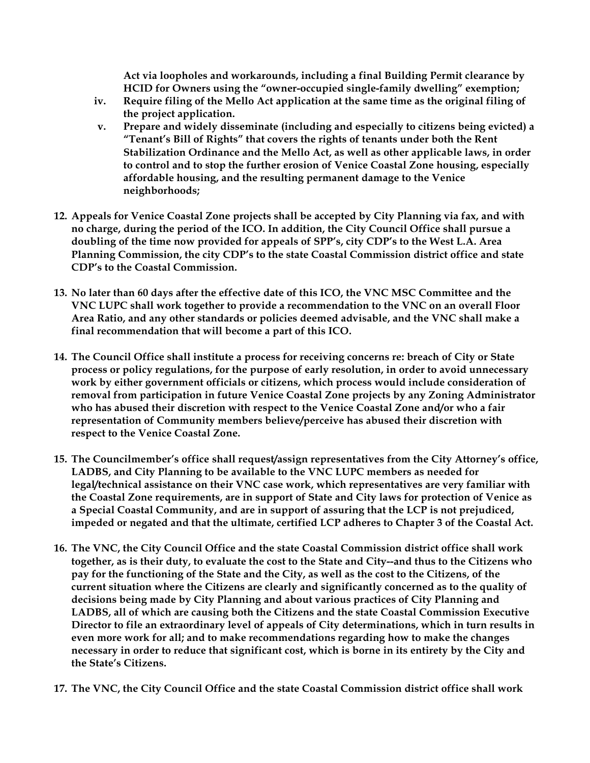**Act via loopholes and workarounds, including a final Building Permit clearance by HCID for Owners using the "owner-occupied single-family dwelling" exemption;**

- **iv. Require filing of the Mello Act application at the same time as the original filing of the project application.**
- **v. Prepare and widely disseminate (including and especially to citizens being evicted) a "Tenant's Bill of Rights" that covers the rights of tenants under both the Rent Stabilization Ordinance and the Mello Act, as well as other applicable laws, in order to control and to stop the further erosion of Venice Coastal Zone housing, especially affordable housing, and the resulting permanent damage to the Venice neighborhoods;**
- **12. Appeals for Venice Coastal Zone projects shall be accepted by City Planning via fax, and with no charge, during the period of the ICO. In addition, the City Council Office shall pursue a doubling of the time now provided for appeals of SPP's, city CDP's to the West L.A. Area Planning Commission, the city CDP's to the state Coastal Commission district office and state CDP's to the Coastal Commission.**
- **13. No later than 60 days after the effective date of this ICO, the VNC MSC Committee and the VNC LUPC shall work together to provide a recommendation to the VNC on an overall Floor Area Ratio, and any other standards or policies deemed advisable, and the VNC shall make a final recommendation that will become a part of this ICO.**
- **14. The Council Office shall institute a process for receiving concerns re: breach of City or State process or policy regulations, for the purpose of early resolution, in order to avoid unnecessary work by either government officials or citizens, which process would include consideration of removal from participation in future Venice Coastal Zone projects by any Zoning Administrator who has abused their discretion with respect to the Venice Coastal Zone and/or who a fair representation of Community members believe/perceive has abused their discretion with respect to the Venice Coastal Zone.**
- **15. The Councilmember's office shall request/assign representatives from the City Attorney's office, LADBS, and City Planning to be available to the VNC LUPC members as needed for legal/technical assistance on their VNC case work, which representatives are very familiar with the Coastal Zone requirements, are in support of State and City laws for protection of Venice as a Special Coastal Community, and are in support of assuring that the LCP is not prejudiced, impeded or negated and that the ultimate, certified LCP adheres to Chapter 3 of the Coastal Act.**
- **16. The VNC, the City Council Office and the state Coastal Commission district office shall work together, as is their duty, to evaluate the cost to the State and City--and thus to the Citizens who pay for the functioning of the State and the City, as well as the cost to the Citizens, of the current situation where the Citizens are clearly and significantly concerned as to the quality of decisions being made by City Planning and about various practices of City Planning and LADBS, all of which are causing both the Citizens and the state Coastal Commission Executive Director to file an extraordinary level of appeals of City determinations, which in turn results in even more work for all; and to make recommendations regarding how to make the changes necessary in order to reduce that significant cost, which is borne in its entirety by the City and the State's Citizens.**
- **17. The VNC, the City Council Office and the state Coastal Commission district office shall work**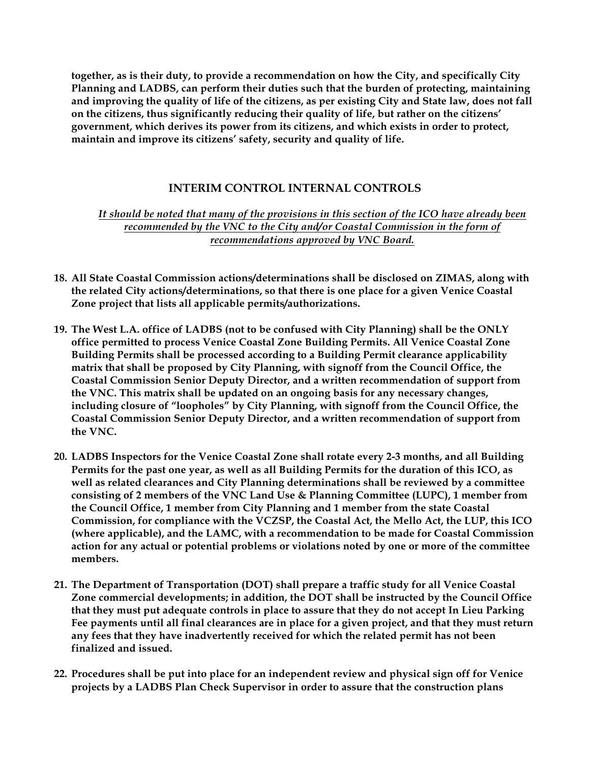**together, as is their duty, to provide a recommendation on how the City, and specifically City Planning and LADBS, can perform their duties such that the burden of protecting, maintaining and improving the quality of life of the citizens, as per existing City and State law, does not fall on the citizens, thus significantly reducing their quality of life, but rather on the citizens' government, which derives its power from its citizens, and which exists in order to protect, maintain and improve its citizens' safety, security and quality of life.**

### **INTERIM CONTROL INTERNAL CONTROLS**

*It should be noted that many of the provisions in this section of the ICO have already been recommended by the VNC to the City and/or Coastal Commission in the form of recommendations approved by VNC Board.*

- **18. All State Coastal Commission actions/determinations shall be disclosed on ZIMAS, along with the related City actions/determinations, so that there is one place for a given Venice Coastal Zone project that lists all applicable permits/authorizations.**
- **19. The West L.A. office of LADBS (not to be confused with City Planning) shall be the ONLY office permitted to process Venice Coastal Zone Building Permits. All Venice Coastal Zone Building Permits shall be processed according to a Building Permit clearance applicability matrix that shall be proposed by City Planning, with signoff from the Council Office, the Coastal Commission Senior Deputy Director, and a written recommendation of support from the VNC. This matrix shall be updated on an ongoing basis for any necessary changes, including closure of "loopholes" by City Planning, with signoff from the Council Office, the Coastal Commission Senior Deputy Director, and a written recommendation of support from the VNC.**
- **20. LADBS Inspectors for the Venice Coastal Zone shall rotate every 2-3 months, and all Building Permits for the past one year, as well as all Building Permits for the duration of this ICO, as well as related clearances and City Planning determinations shall be reviewed by a committee consisting of 2 members of the VNC Land Use & Planning Committee (LUPC), 1 member from the Council Office, 1 member from City Planning and 1 member from the state Coastal Commission, for compliance with the VCZSP, the Coastal Act, the Mello Act, the LUP, this ICO (where applicable), and the LAMC, with a recommendation to be made for Coastal Commission action for any actual or potential problems or violations noted by one or more of the committee members.**
- **21. The Department of Transportation (DOT) shall prepare a traffic study for all Venice Coastal Zone commercial developments; in addition, the DOT shall be instructed by the Council Office that they must put adequate controls in place to assure that they do not accept In Lieu Parking Fee payments until all final clearances are in place for a given project, and that they must return any fees that they have inadvertently received for which the related permit has not been finalized and issued.**
- **22. Procedures shall be put into place for an independent review and physical sign off for Venice projects by a LADBS Plan Check Supervisor in order to assure that the construction plans**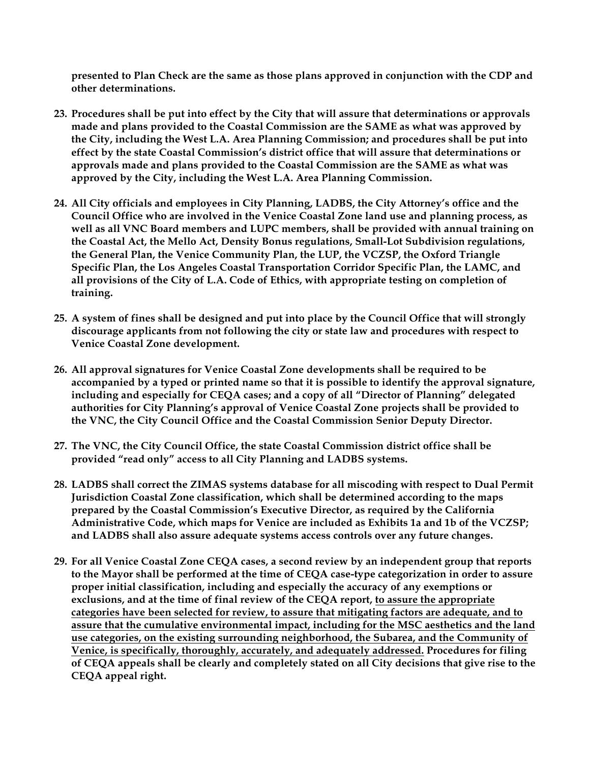**presented to Plan Check are the same as those plans approved in conjunction with the CDP and other determinations.** 

- **23. Procedures shall be put into effect by the City that will assure that determinations or approvals made and plans provided to the Coastal Commission are the SAME as what was approved by the City, including the West L.A. Area Planning Commission; and procedures shall be put into effect by the state Coastal Commission's district office that will assure that determinations or approvals made and plans provided to the Coastal Commission are the SAME as what was approved by the City, including the West L.A. Area Planning Commission.**
- **24. All City officials and employees in City Planning, LADBS, the City Attorney's office and the Council Office who are involved in the Venice Coastal Zone land use and planning process, as well as all VNC Board members and LUPC members, shall be provided with annual training on the Coastal Act, the Mello Act, Density Bonus regulations, Small-Lot Subdivision regulations, the General Plan, the Venice Community Plan, the LUP, the VCZSP, the Oxford Triangle Specific Plan, the Los Angeles Coastal Transportation Corridor Specific Plan, the LAMC, and all provisions of the City of L.A. Code of Ethics, with appropriate testing on completion of training.**
- **25. A system of fines shall be designed and put into place by the Council Office that will strongly discourage applicants from not following the city or state law and procedures with respect to Venice Coastal Zone development.**
- **26. All approval signatures for Venice Coastal Zone developments shall be required to be accompanied by a typed or printed name so that it is possible to identify the approval signature, including and especially for CEQA cases; and a copy of all "Director of Planning" delegated authorities for City Planning's approval of Venice Coastal Zone projects shall be provided to the VNC, the City Council Office and the Coastal Commission Senior Deputy Director.**
- **27. The VNC, the City Council Office, the state Coastal Commission district office shall be provided "read only" access to all City Planning and LADBS systems.**
- **28. LADBS shall correct the ZIMAS systems database for all miscoding with respect to Dual Permit Jurisdiction Coastal Zone classification, which shall be determined according to the maps prepared by the Coastal Commission's Executive Director, as required by the California Administrative Code, which maps for Venice are included as Exhibits 1a and 1b of the VCZSP; and LADBS shall also assure adequate systems access controls over any future changes.**
- **29. For all Venice Coastal Zone CEQA cases, a second review by an independent group that reports to the Mayor shall be performed at the time of CEQA case-type categorization in order to assure proper initial classification, including and especially the accuracy of any exemptions or exclusions, and at the time of final review of the CEQA report, to assure the appropriate categories have been selected for review, to assure that mitigating factors are adequate, and to assure that the cumulative environmental impact, including for the MSC aesthetics and the land use categories, on the existing surrounding neighborhood, the Subarea, and the Community of Venice, is specifically, thoroughly, accurately, and adequately addressed. Procedures for filing of CEQA appeals shall be clearly and completely stated on all City decisions that give rise to the CEQA appeal right.**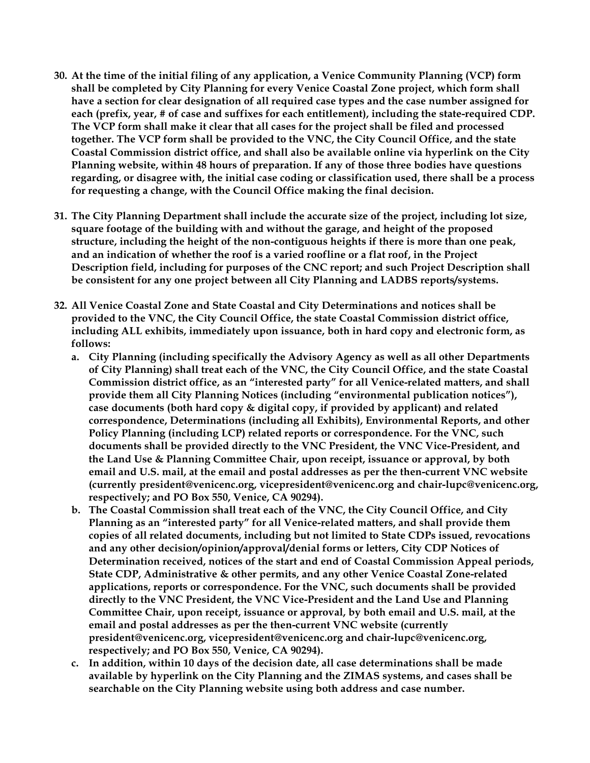- **30. At the time of the initial filing of any application, a Venice Community Planning (VCP) form shall be completed by City Planning for every Venice Coastal Zone project, which form shall have a section for clear designation of all required case types and the case number assigned for each (prefix, year, # of case and suffixes for each entitlement), including the state-required CDP. The VCP form shall make it clear that all cases for the project shall be filed and processed together. The VCP form shall be provided to the VNC, the City Council Office, and the state Coastal Commission district office, and shall also be available online via hyperlink on the City Planning website, within 48 hours of preparation. If any of those three bodies have questions regarding, or disagree with, the initial case coding or classification used, there shall be a process for requesting a change, with the Council Office making the final decision.**
- **31. The City Planning Department shall include the accurate size of the project, including lot size, square footage of the building with and without the garage, and height of the proposed structure, including the height of the non-contiguous heights if there is more than one peak, and an indication of whether the roof is a varied roofline or a flat roof, in the Project Description field, including for purposes of the CNC report; and such Project Description shall be consistent for any one project between all City Planning and LADBS reports/systems.**
- **32. All Venice Coastal Zone and State Coastal and City Determinations and notices shall be provided to the VNC, the City Council Office, the state Coastal Commission district office, including ALL exhibits, immediately upon issuance, both in hard copy and electronic form, as follows:**
	- **a. City Planning (including specifically the Advisory Agency as well as all other Departments of City Planning) shall treat each of the VNC, the City Council Office, and the state Coastal Commission district office, as an "interested party" for all Venice-related matters, and shall provide them all City Planning Notices (including "environmental publication notices"), case documents (both hard copy & digital copy, if provided by applicant) and related correspondence, Determinations (including all Exhibits), Environmental Reports, and other Policy Planning (including LCP) related reports or correspondence. For the VNC, such documents shall be provided directly to the VNC President, the VNC Vice-President, and the Land Use & Planning Committee Chair, upon receipt, issuance or approval, by both email and U.S. mail, at the email and postal addresses as per the then-current VNC website (currently president@venicenc.org, vicepresident@venicenc.org and chair-lupc@venicenc.org, respectively; and PO Box 550, Venice, CA 90294).**
	- **b. The Coastal Commission shall treat each of the VNC, the City Council Office, and City Planning as an "interested party" for all Venice-related matters, and shall provide them copies of all related documents, including but not limited to State CDPs issued, revocations and any other decision/opinion/approval/denial forms or letters, City CDP Notices of Determination received, notices of the start and end of Coastal Commission Appeal periods, State CDP, Administrative & other permits, and any other Venice Coastal Zone-related applications, reports or correspondence. For the VNC, such documents shall be provided directly to the VNC President, the VNC Vice-President and the Land Use and Planning Committee Chair, upon receipt, issuance or approval, by both email and U.S. mail, at the email and postal addresses as per the then-current VNC website (currently president@venicenc.org, vicepresident@venicenc.org and chair-lupc@venicenc.org, respectively; and PO Box 550, Venice, CA 90294).**
	- **c. In addition, within 10 days of the decision date, all case determinations shall be made available by hyperlink on the City Planning and the ZIMAS systems, and cases shall be searchable on the City Planning website using both address and case number.**